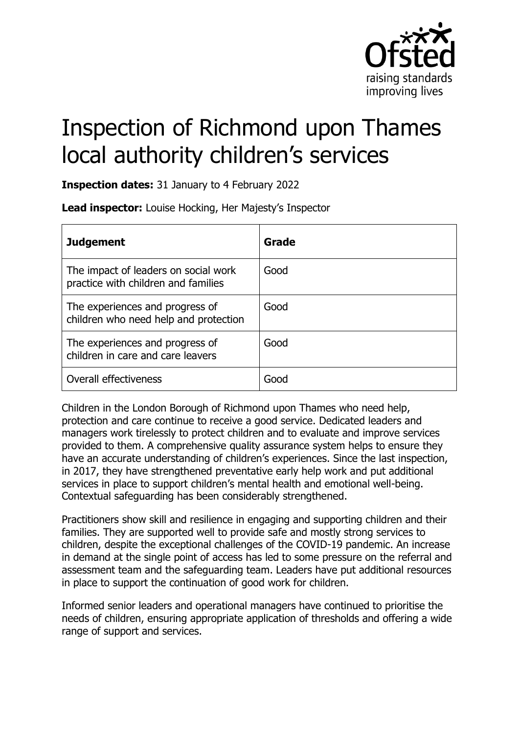

# Inspection of Richmond upon Thames local authority children's services

**Inspection dates:** 31 January to 4 February 2022

**Lead inspector:** Louise Hocking, Her Majesty's Inspector

| <b>Judgement</b>                                                            | Grade |
|-----------------------------------------------------------------------------|-------|
| The impact of leaders on social work<br>practice with children and families | Good  |
| The experiences and progress of<br>children who need help and protection    | Good  |
| The experiences and progress of<br>children in care and care leavers        | Good  |
| Overall effectiveness                                                       | Good  |

Children in the London Borough of Richmond upon Thames who need help, protection and care continue to receive a good service. Dedicated leaders and managers work tirelessly to protect children and to evaluate and improve services provided to them. A comprehensive quality assurance system helps to ensure they have an accurate understanding of children's experiences. Since the last inspection, in 2017, they have strengthened preventative early help work and put additional services in place to support children's mental health and emotional well-being. Contextual safeguarding has been considerably strengthened.

Practitioners show skill and resilience in engaging and supporting children and their families. They are supported well to provide safe and mostly strong services to children, despite the exceptional challenges of the COVID-19 pandemic. An increase in demand at the single point of access has led to some pressure on the referral and assessment team and the safeguarding team. Leaders have put additional resources in place to support the continuation of good work for children.

Informed senior leaders and operational managers have continued to prioritise the needs of children, ensuring appropriate application of thresholds and offering a wide range of support and services.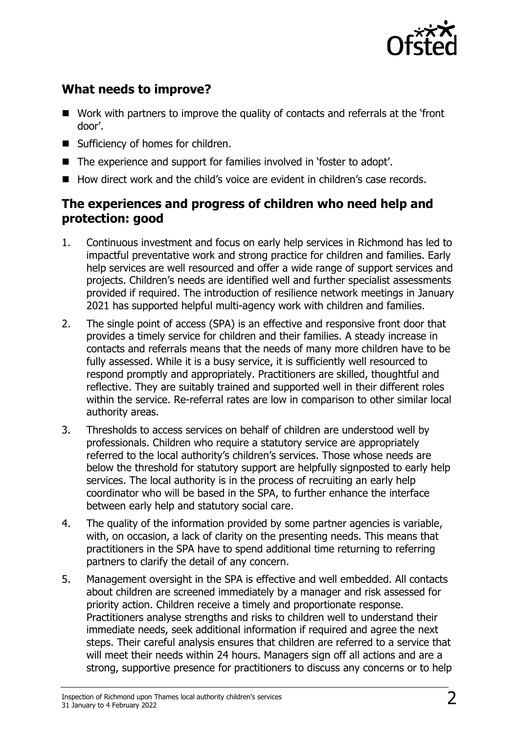

## **What needs to improve?**

- Work with partners to improve the quality of contacts and referrals at the 'front door'.
- Sufficiency of homes for children.
- The experience and support for families involved in 'foster to adopt'.
- How direct work and the child's voice are evident in children's case records.

### **The experiences and progress of children who need help and protection: good**

- 1. Continuous investment and focus on early help services in Richmond has led to impactful preventative work and strong practice for children and families. Early help services are well resourced and offer a wide range of support services and projects. Children's needs are identified well and further specialist assessments provided if required. The introduction of resilience network meetings in January 2021 has supported helpful multi-agency work with children and families.
- 2. The single point of access (SPA) is an effective and responsive front door that provides a timely service for children and their families. A steady increase in contacts and referrals means that the needs of many more children have to be fully assessed. While it is a busy service, it is sufficiently well resourced to respond promptly and appropriately. Practitioners are skilled, thoughtful and reflective. They are suitably trained and supported well in their different roles within the service. Re-referral rates are low in comparison to other similar local authority areas.
- 3. Thresholds to access services on behalf of children are understood well by professionals. Children who require a statutory service are appropriately referred to the local authority's children's services. Those whose needs are below the threshold for statutory support are helpfully signposted to early help services. The local authority is in the process of recruiting an early help coordinator who will be based in the SPA, to further enhance the interface between early help and statutory social care.
- 4. The quality of the information provided by some partner agencies is variable, with, on occasion, a lack of clarity on the presenting needs. This means that practitioners in the SPA have to spend additional time returning to referring partners to clarify the detail of any concern.
- 5. Management oversight in the SPA is effective and well embedded. All contacts about children are screened immediately by a manager and risk assessed for priority action. Children receive a timely and proportionate response. Practitioners analyse strengths and risks to children well to understand their immediate needs, seek additional information if required and agree the next steps. Their careful analysis ensures that children are referred to a service that will meet their needs within 24 hours. Managers sign off all actions and are a strong, supportive presence for practitioners to discuss any concerns or to help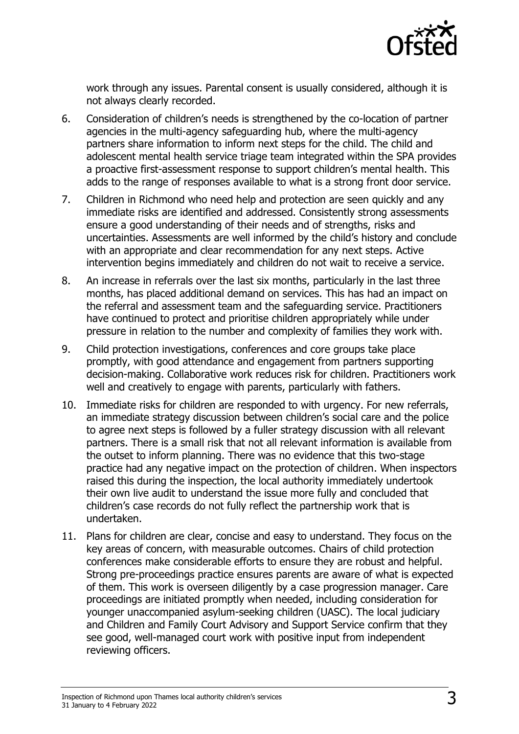

work through any issues. Parental consent is usually considered, although it is not always clearly recorded.

- 6. Consideration of children's needs is strengthened by the co-location of partner agencies in the multi-agency safeguarding hub, where the multi-agency partners share information to inform next steps for the child. The child and adolescent mental health service triage team integrated within the SPA provides a proactive first-assessment response to support children's mental health. This adds to the range of responses available to what is a strong front door service.
- 7. Children in Richmond who need help and protection are seen quickly and any immediate risks are identified and addressed. Consistently strong assessments ensure a good understanding of their needs and of strengths, risks and uncertainties. Assessments are well informed by the child's history and conclude with an appropriate and clear recommendation for any next steps. Active intervention begins immediately and children do not wait to receive a service.
- 8. An increase in referrals over the last six months, particularly in the last three months, has placed additional demand on services. This has had an impact on the referral and assessment team and the safeguarding service. Practitioners have continued to protect and prioritise children appropriately while under pressure in relation to the number and complexity of families they work with.
- 9. Child protection investigations, conferences and core groups take place promptly, with good attendance and engagement from partners supporting decision-making. Collaborative work reduces risk for children. Practitioners work well and creatively to engage with parents, particularly with fathers.
- 10. Immediate risks for children are responded to with urgency. For new referrals, an immediate strategy discussion between children's social care and the police to agree next steps is followed by a fuller strategy discussion with all relevant partners. There is a small risk that not all relevant information is available from the outset to inform planning. There was no evidence that this two-stage practice had any negative impact on the protection of children. When inspectors raised this during the inspection, the local authority immediately undertook their own live audit to understand the issue more fully and concluded that children's case records do not fully reflect the partnership work that is undertaken.
- 11. Plans for children are clear, concise and easy to understand. They focus on the key areas of concern, with measurable outcomes. Chairs of child protection conferences make considerable efforts to ensure they are robust and helpful. Strong pre-proceedings practice ensures parents are aware of what is expected of them. This work is overseen diligently by a case progression manager. Care proceedings are initiated promptly when needed, including consideration for younger unaccompanied asylum-seeking children (UASC). The local judiciary and Children and Family Court Advisory and Support Service confirm that they see good, well-managed court work with positive input from independent reviewing officers.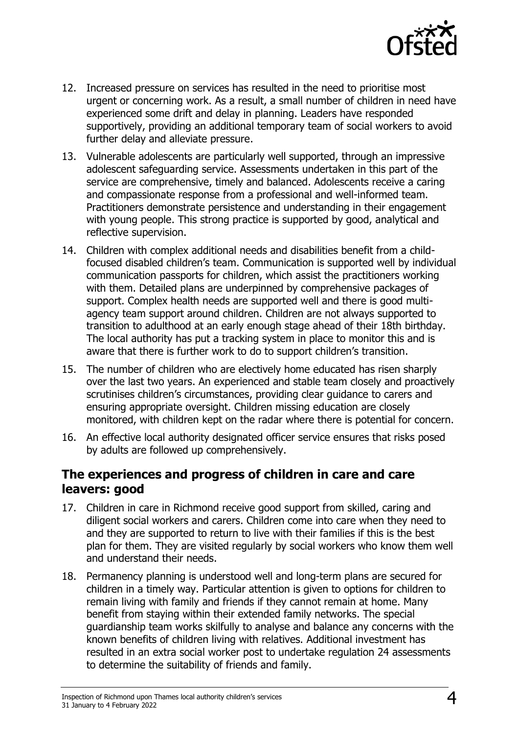

- 12. Increased pressure on services has resulted in the need to prioritise most urgent or concerning work. As a result, a small number of children in need have experienced some drift and delay in planning. Leaders have responded supportively, providing an additional temporary team of social workers to avoid further delay and alleviate pressure.
- 13. Vulnerable adolescents are particularly well supported, through an impressive adolescent safeguarding service. Assessments undertaken in this part of the service are comprehensive, timely and balanced. Adolescents receive a caring and compassionate response from a professional and well-informed team. Practitioners demonstrate persistence and understanding in their engagement with young people. This strong practice is supported by good, analytical and reflective supervision.
- 14. Children with complex additional needs and disabilities benefit from a childfocused disabled children's team. Communication is supported well by individual communication passports for children, which assist the practitioners working with them. Detailed plans are underpinned by comprehensive packages of support. Complex health needs are supported well and there is good multiagency team support around children. Children are not always supported to transition to adulthood at an early enough stage ahead of their 18th birthday. The local authority has put a tracking system in place to monitor this and is aware that there is further work to do to support children's transition.
- 15. The number of children who are electively home educated has risen sharply over the last two years. An experienced and stable team closely and proactively scrutinises children's circumstances, providing clear guidance to carers and ensuring appropriate oversight. Children missing education are closely monitored, with children kept on the radar where there is potential for concern.
- 16. An effective local authority designated officer service ensures that risks posed by adults are followed up comprehensively.

#### **The experiences and progress of children in care and care leavers: good**

- 17. Children in care in Richmond receive good support from skilled, caring and diligent social workers and carers. Children come into care when they need to and they are supported to return to live with their families if this is the best plan for them. They are visited regularly by social workers who know them well and understand their needs.
- 18. Permanency planning is understood well and long-term plans are secured for children in a timely way. Particular attention is given to options for children to remain living with family and friends if they cannot remain at home. Many benefit from staying within their extended family networks. The special guardianship team works skilfully to analyse and balance any concerns with the known benefits of children living with relatives. Additional investment has resulted in an extra social worker post to undertake regulation 24 assessments to determine the suitability of friends and family.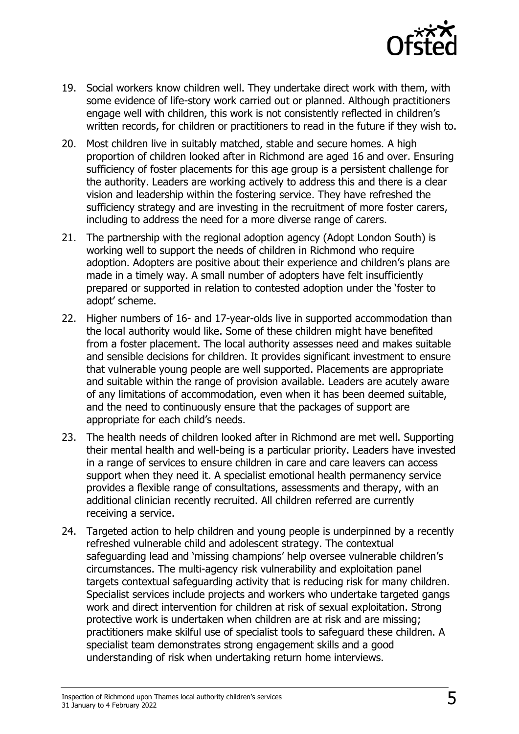

- 19. Social workers know children well. They undertake direct work with them, with some evidence of life-story work carried out or planned. Although practitioners engage well with children, this work is not consistently reflected in children's written records, for children or practitioners to read in the future if they wish to.
- 20. Most children live in suitably matched, stable and secure homes. A high proportion of children looked after in Richmond are aged 16 and over. Ensuring sufficiency of foster placements for this age group is a persistent challenge for the authority. Leaders are working actively to address this and there is a clear vision and leadership within the fostering service. They have refreshed the sufficiency strategy and are investing in the recruitment of more foster carers, including to address the need for a more diverse range of carers.
- 21. The partnership with the regional adoption agency (Adopt London South) is working well to support the needs of children in Richmond who require adoption. Adopters are positive about their experience and children's plans are made in a timely way. A small number of adopters have felt insufficiently prepared or supported in relation to contested adoption under the 'foster to adopt' scheme.
- 22. Higher numbers of 16- and 17-year-olds live in supported accommodation than the local authority would like. Some of these children might have benefited from a foster placement. The local authority assesses need and makes suitable and sensible decisions for children. It provides significant investment to ensure that vulnerable young people are well supported. Placements are appropriate and suitable within the range of provision available. Leaders are acutely aware of any limitations of accommodation, even when it has been deemed suitable, and the need to continuously ensure that the packages of support are appropriate for each child's needs.
- 23. The health needs of children looked after in Richmond are met well. Supporting their mental health and well-being is a particular priority. Leaders have invested in a range of services to ensure children in care and care leavers can access support when they need it. A specialist emotional health permanency service provides a flexible range of consultations, assessments and therapy, with an additional clinician recently recruited. All children referred are currently receiving a service.
- 24. Targeted action to help children and young people is underpinned by a recently refreshed vulnerable child and adolescent strategy. The contextual safeguarding lead and 'missing champions' help oversee vulnerable children's circumstances. The multi-agency risk vulnerability and exploitation panel targets contextual safeguarding activity that is reducing risk for many children. Specialist services include projects and workers who undertake targeted gangs work and direct intervention for children at risk of sexual exploitation. Strong protective work is undertaken when children are at risk and are missing; practitioners make skilful use of specialist tools to safeguard these children. A specialist team demonstrates strong engagement skills and a good understanding of risk when undertaking return home interviews.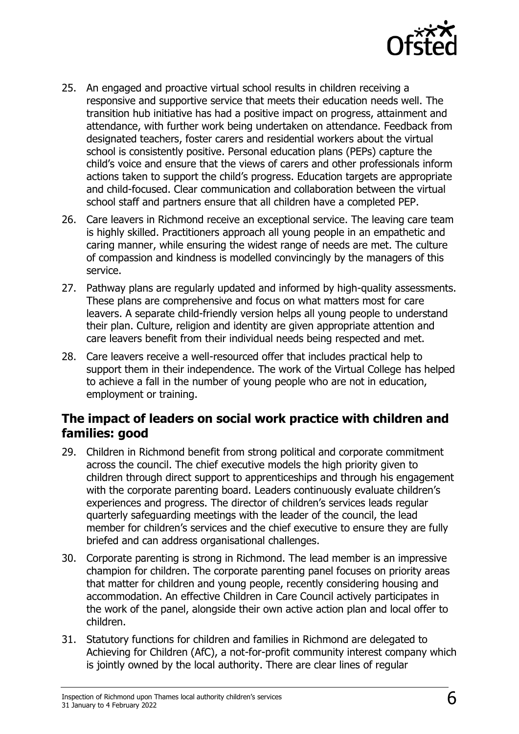

- 25. An engaged and proactive virtual school results in children receiving a responsive and supportive service that meets their education needs well. The transition hub initiative has had a positive impact on progress, attainment and attendance, with further work being undertaken on attendance. Feedback from designated teachers, foster carers and residential workers about the virtual school is consistently positive. Personal education plans (PEPs) capture the child's voice and ensure that the views of carers and other professionals inform actions taken to support the child's progress. Education targets are appropriate and child-focused. Clear communication and collaboration between the virtual school staff and partners ensure that all children have a completed PEP.
- 26. Care leavers in Richmond receive an exceptional service. The leaving care team is highly skilled. Practitioners approach all young people in an empathetic and caring manner, while ensuring the widest range of needs are met. The culture of compassion and kindness is modelled convincingly by the managers of this service.
- 27. Pathway plans are regularly updated and informed by high-quality assessments. These plans are comprehensive and focus on what matters most for care leavers. A separate child-friendly version helps all young people to understand their plan. Culture, religion and identity are given appropriate attention and care leavers benefit from their individual needs being respected and met.
- 28. Care leavers receive a well-resourced offer that includes practical help to support them in their independence. The work of the Virtual College has helped to achieve a fall in the number of young people who are not in education, employment or training.

### **The impact of leaders on social work practice with children and families: good**

- 29. Children in Richmond benefit from strong political and corporate commitment across the council. The chief executive models the high priority given to children through direct support to apprenticeships and through his engagement with the corporate parenting board. Leaders continuously evaluate children's experiences and progress. The director of children's services leads regular quarterly safeguarding meetings with the leader of the council, the lead member for children's services and the chief executive to ensure they are fully briefed and can address organisational challenges.
- 30. Corporate parenting is strong in Richmond. The lead member is an impressive champion for children. The corporate parenting panel focuses on priority areas that matter for children and young people, recently considering housing and accommodation. An effective Children in Care Council actively participates in the work of the panel, alongside their own active action plan and local offer to children.
- 31. Statutory functions for children and families in Richmond are delegated to Achieving for Children (AfC), a not-for-profit community interest company which is jointly owned by the local authority. There are clear lines of regular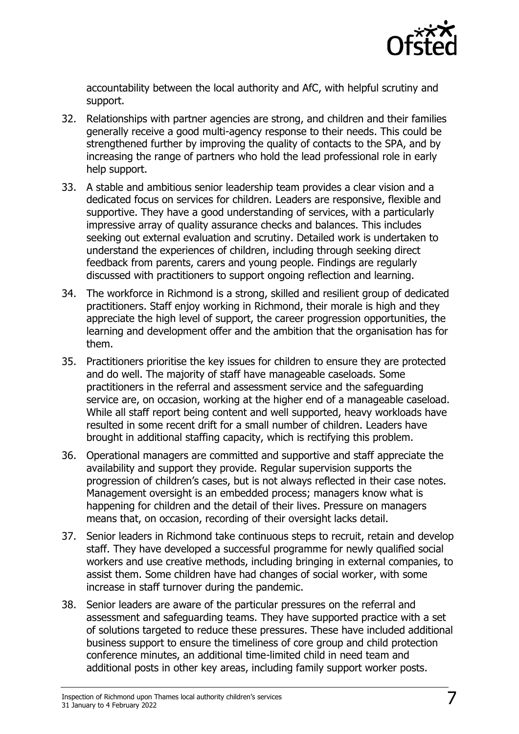

accountability between the local authority and AfC, with helpful scrutiny and support.

- 32. Relationships with partner agencies are strong, and children and their families generally receive a good multi-agency response to their needs. This could be strengthened further by improving the quality of contacts to the SPA, and by increasing the range of partners who hold the lead professional role in early help support.
- 33. A stable and ambitious senior leadership team provides a clear vision and a dedicated focus on services for children. Leaders are responsive, flexible and supportive. They have a good understanding of services, with a particularly impressive array of quality assurance checks and balances. This includes seeking out external evaluation and scrutiny. Detailed work is undertaken to understand the experiences of children, including through seeking direct feedback from parents, carers and young people. Findings are regularly discussed with practitioners to support ongoing reflection and learning.
- 34. The workforce in Richmond is a strong, skilled and resilient group of dedicated practitioners. Staff enjoy working in Richmond, their morale is high and they appreciate the high level of support, the career progression opportunities, the learning and development offer and the ambition that the organisation has for them.
- 35. Practitioners prioritise the key issues for children to ensure they are protected and do well. The majority of staff have manageable caseloads. Some practitioners in the referral and assessment service and the safeguarding service are, on occasion, working at the higher end of a manageable caseload. While all staff report being content and well supported, heavy workloads have resulted in some recent drift for a small number of children. Leaders have brought in additional staffing capacity, which is rectifying this problem.
- 36. Operational managers are committed and supportive and staff appreciate the availability and support they provide. Regular supervision supports the progression of children's cases, but is not always reflected in their case notes. Management oversight is an embedded process; managers know what is happening for children and the detail of their lives. Pressure on managers means that, on occasion, recording of their oversight lacks detail.
- 37. Senior leaders in Richmond take continuous steps to recruit, retain and develop staff. They have developed a successful programme for newly qualified social workers and use creative methods, including bringing in external companies, to assist them. Some children have had changes of social worker, with some increase in staff turnover during the pandemic.
- 38. Senior leaders are aware of the particular pressures on the referral and assessment and safeguarding teams. They have supported practice with a set of solutions targeted to reduce these pressures. These have included additional business support to ensure the timeliness of core group and child protection conference minutes, an additional time-limited child in need team and additional posts in other key areas, including family support worker posts.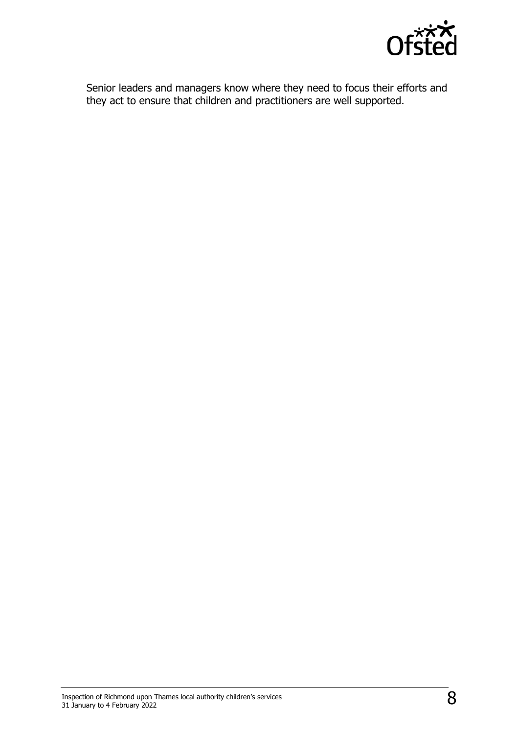

Senior leaders and managers know where they need to focus their efforts and they act to ensure that children and practitioners are well supported.